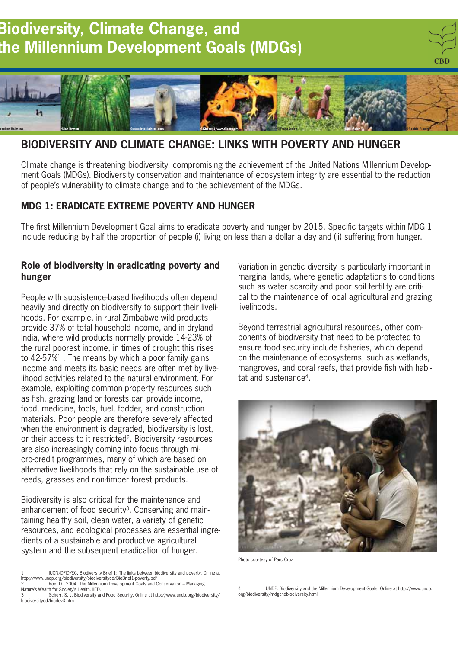# **Biodiversity, Climate Change, and the Millennium Development Goals (MDGs)**





# **BIODIVERSITY AND CLIMATE CHANGE: LINKS WITH POVERTY AND HUNGER**

Climate change is threatening biodiversity, compromising the achievement of the United Nations Millennium Development Goals (MDGs). Biodiversity conservation and maintenance of ecosystem integrity are essential to the reduction of people's vulnerability to climate change and to the achievement of the MDGs.

## **MDG 1: ERADICATE EXTREME POVERTY AND HUNGER**

The first Millennium Development Goal aims to eradicate poverty and hunger by 2015. Specific targets within MDG 1 include reducing by half the proportion of people (i) living on less than a dollar a day and (ii) suffering from hunger.

#### **Role of biodiversity in eradicating poverty and hunger**

People with subsistence-based livelihoods often depend heavily and directly on biodiversity to support their livelihoods. For example, in rural Zimbabwe wild products provide 37% of total household income, and in dryland India, where wild products normally provide 14-23% of the rural poorest income, in times of drought this rises to  $42-57\%$ <sup>1</sup>. The means by which a poor family gains income and meets its basic needs are often met by livelihood activities related to the natural environment. For example, exploiting common property resources such as fish, grazing land or forests can provide income, food, medicine, tools, fuel, fodder, and construction materials. Poor people are therefore severely affected when the environment is degraded, biodiversity is lost, or their access to it restricted<sup>2</sup>. Biodiversity resources are also increasingly coming into focus through micro-credit programmes, many of which are based on alternative livelihoods that rely on the sustainable use of reeds, grasses and non-timber forest products.

Biodiversity is also critical for the maintenance and enhancement of food security<sup>3</sup>. Conserving and maintaining healthy soil, clean water, a variety of genetic resources, and ecological processes are essential ingredients of a sustainable and productive agricultural system and the subsequent eradication of hunger.

1 IUCN/DFID/EC. Biodiversity Brief 1: The links between biodiversity and poverty. Online at http://www.undp.org/biodiversity/biodiversitycd/BioBrief1-poverty.pdf Roe, D., 2004. The Millennium Development Goals and Conservation - Managing

Variation in genetic diversity is particularly important in marginal lands, where genetic adaptations to conditions such as water scarcity and poor soil fertility are critical to the maintenance of local agricultural and grazing livelihoods.

Beyond terrestrial agricultural resources, other components of biodiversity that need to be protected to ensure food security include fisheries, which depend on the maintenance of ecosystems, such as wetlands, mangroves, and coral reefs, that provide fish with habitat and sustenance<sup>4</sup>



Photo courtesy of Parc Cruz

Nature's Wealth for Society's Health. IIED.<br>3 Scherr, S. J. Biodiversity and Food Security. Online at http://www.undp.org/biodiversity/ biodiversitycd/biodev3.htm

<sup>4</sup> UNDP. Biodiversity and the Millennium Development Goals. Online at http://www.undp. org/biodiversity/mdgandbiodiversity.html